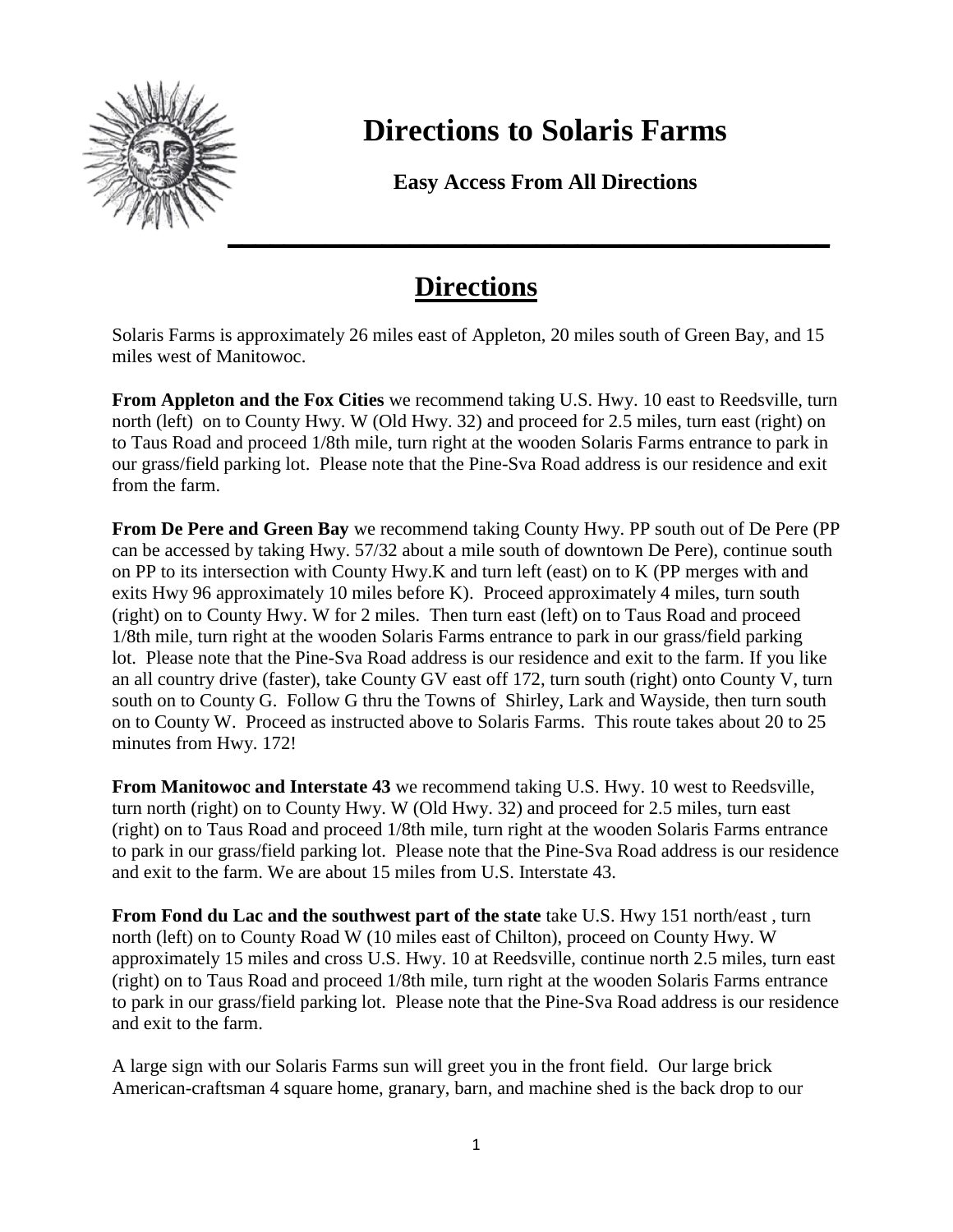

## **Directions to Solaris Farms**

**Easy Access From All Directions**

## **Directions**

Solaris Farms is approximately 26 miles east of Appleton, 20 miles south of Green Bay, and 15 miles west of Manitowoc.

**From Appleton and the Fox Cities** we recommend taking U.S. Hwy. 10 east to Reedsville, turn north (left) on to County Hwy. W (Old Hwy. 32) and proceed for 2.5 miles, turn east (right) on to Taus Road and proceed 1/8th mile, turn right at the wooden Solaris Farms entrance to park in our grass/field parking lot. Please note that the Pine-Sva Road address is our residence and exit from the farm.

**From De Pere and Green Bay** we recommend taking County Hwy. PP south out of De Pere (PP can be accessed by taking Hwy. 57/32 about a mile south of downtown De Pere), continue south on PP to its intersection with County Hwy.K and turn left (east) on to K (PP merges with and exits Hwy 96 approximately 10 miles before K). Proceed approximately 4 miles, turn south (right) on to County Hwy. W for 2 miles. Then turn east (left) on to Taus Road and proceed 1/8th mile, turn right at the wooden Solaris Farms entrance to park in our grass/field parking lot. Please note that the Pine-Sva Road address is our residence and exit to the farm. If you like an all country drive (faster), take County GV east off 172, turn south (right) onto County V, turn south on to County G. Follow G thru the Towns of Shirley, Lark and Wayside, then turn south on to County W. Proceed as instructed above to Solaris Farms. This route takes about 20 to 25 minutes from Hwy. 172!

**From Manitowoc and Interstate 43** we recommend taking U.S. Hwy. 10 west to Reedsville, turn north (right) on to County Hwy. W (Old Hwy. 32) and proceed for 2.5 miles, turn east (right) on to Taus Road and proceed 1/8th mile, turn right at the wooden Solaris Farms entrance to park in our grass/field parking lot. Please note that the Pine-Sva Road address is our residence and exit to the farm. We are about 15 miles from U.S. Interstate 43.

**From Fond du Lac and the southwest part of the state** take U.S. Hwy 151 north/east , turn north (left) on to County Road W (10 miles east of Chilton), proceed on County Hwy. W approximately 15 miles and cross U.S. Hwy. 10 at Reedsville, continue north 2.5 miles, turn east (right) on to Taus Road and proceed 1/8th mile, turn right at the wooden Solaris Farms entrance to park in our grass/field parking lot. Please note that the Pine-Sva Road address is our residence and exit to the farm.

A large sign with our Solaris Farms sun will greet you in the front field. Our large brick American-craftsman 4 square home, granary, barn, and machine shed is the back drop to our